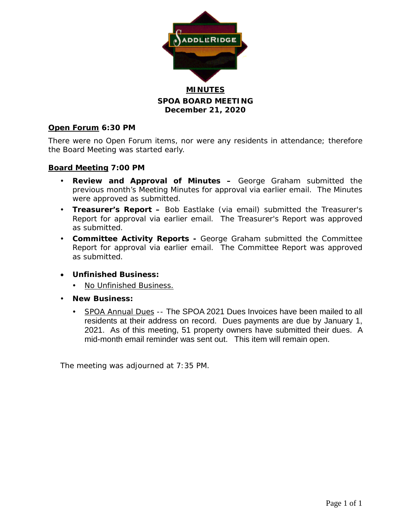

**SPOA BOARD MEETING December 21, 2020**

### **Open Forum 6:30 PM**

There were no Open Forum items, nor were any residents in attendance; therefore the Board Meeting was started early.

#### **Board Meeting 7:00 PM**

- **Review and Approval of Minutes –** George Graham submitted the previous month's Meeting Minutes for approval via earlier email. The Minutes were approved as submitted.
- **Treasurer's Report –** Bob Eastlake (via email) submitted the Treasurer's Report for approval via earlier email. The Treasurer's Report was approved as submitted.
- **Committee Activity Reports -** George Graham submitted the Committee Report for approval via earlier email. The Committee Report was approved as submitted.
- **Unfinished Business:**
	- No Unfinished Business.
- **New Business:**
	- SPOA Annual Dues -- The SPOA 2021 Dues Invoices have been mailed to all residents at their address on record. Dues payments are due by January 1, 2021. As of this meeting, 51 property owners have submitted their dues. A mid-month email reminder was sent out. This item will remain open.

The meeting was adjourned at 7:35 PM.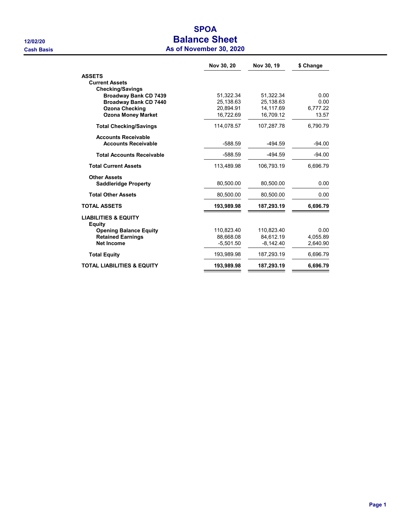# SPOA 12/02/20 **Balance Sheet**

| As of November 30, 2020 |  |
|-------------------------|--|
|-------------------------|--|

|                                           | Nov 30, 20  | Nov 30, 19  | \$ Change |
|-------------------------------------------|-------------|-------------|-----------|
| <b>ASSETS</b>                             |             |             |           |
| <b>Current Assets</b>                     |             |             |           |
| <b>Checking/Savings</b>                   |             |             |           |
| <b>Broadway Bank CD 7439</b>              | 51,322.34   | 51,322.34   | 0.00      |
| <b>Broadway Bank CD 7440</b>              | 25,138.63   | 25,138.63   | 0.00      |
| <b>Ozona Checking</b>                     | 20,894.91   | 14,117.69   | 6,777.22  |
| <b>Ozona Money Market</b>                 | 16,722.69   | 16,709.12   | 13.57     |
| <b>Total Checking/Savings</b>             | 114.078.57  | 107,287.78  | 6.790.79  |
| <b>Accounts Receivable</b>                |             |             |           |
| <b>Accounts Receivable</b>                | $-588.59$   | $-494.59$   | $-94.00$  |
| <b>Total Accounts Receivable</b>          | $-588.59$   | -494.59     | $-94.00$  |
| <b>Total Current Assets</b>               | 113.489.98  | 106.793.19  | 6.696.79  |
| <b>Other Assets</b>                       |             |             |           |
| <b>Saddleridge Property</b>               | 80.500.00   | 80.500.00   | 0.00      |
| <b>Total Other Assets</b>                 | 80,500.00   | 80,500.00   | 0.00      |
| <b>TOTAL ASSETS</b>                       | 193,989.98  | 187,293.19  | 6,696.79  |
| <b>LIABILITIES &amp; EQUITY</b><br>Equity |             |             |           |
| <b>Opening Balance Equity</b>             | 110,823.40  | 110.823.40  | 0.00      |
| <b>Retained Earnings</b>                  | 88.668.08   | 84.612.19   | 4.055.89  |
| <b>Net Income</b>                         | $-5,501.50$ | $-8,142.40$ | 2.640.90  |
| <b>Total Equity</b>                       | 193,989.98  | 187,293.19  | 6,696.79  |
| TOTAL LIABILITIES & EQUITY                | 193,989.98  | 187,293.19  | 6,696.79  |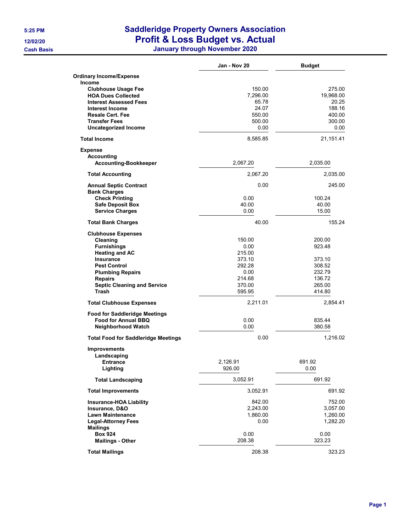## 5:25 PM Saddleridge Property Owners Association 12/02/20 **Profit & Loss Budget vs. Actual**

Cash Basis January through November 2020

|                                            | Jan - Nov 20 | <b>Budget</b> |
|--------------------------------------------|--------------|---------------|
| <b>Ordinary Income/Expense</b>             |              |               |
| <b>Income</b>                              |              |               |
| <b>Clubhouse Usage Fee</b>                 | 150.00       | 275.00        |
| <b>HOA Dues Collected</b>                  | 7,296.00     | 19,968.00     |
| <b>Interest Assessed Fees</b>              | 65.78        | 20.25         |
| <b>Interest Income</b>                     | 24.07        | 188.16        |
| <b>Resale Cert. Fee</b>                    | 550.00       | 400.00        |
| <b>Transfer Fees</b>                       | 500.00       | 300.00        |
| <b>Uncategorized Income</b>                | 0.00         | 0.00          |
| <b>Total Income</b>                        | 8,585.85     | 21,151.41     |
| <b>Expense</b>                             |              |               |
| Accounting                                 |              |               |
| <b>Accounting-Bookkeeper</b>               | 2,067.20     | 2,035.00      |
| <b>Total Accounting</b>                    | 2,067.20     | 2,035.00      |
| <b>Annual Septic Contract</b>              | 0.00         | 245.00        |
| <b>Bank Charges</b>                        |              |               |
| <b>Check Printing</b>                      | 0.00         | 100.24        |
| <b>Safe Deposit Box</b>                    | 40.00        | 40.00         |
| <b>Service Charges</b>                     | 0.00         | 15.00         |
| <b>Total Bank Charges</b>                  | 40.00        | 155.24        |
| <b>Clubhouse Expenses</b>                  |              |               |
| Cleaning                                   | 150.00       | 200.00        |
| <b>Furnishings</b>                         | 0.00         | 923.48        |
| <b>Heating and AC</b>                      | 215.00       |               |
| <b>Insurance</b>                           | 373.10       | 373.10        |
| <b>Pest Control</b>                        | 292.28       | 308.52        |
| <b>Plumbing Repairs</b>                    | 0.00         | 232.79        |
| <b>Repairs</b>                             | 214.68       | 136.72        |
| <b>Septic Cleaning and Service</b>         | 370.00       | 265.00        |
| Trash                                      | 595.95       | 414.80        |
| <b>Total Clubhouse Expenses</b>            | 2,211.01     | 2,854.41      |
| <b>Food for Saddleridge Meetings</b>       |              |               |
| <b>Food for Annual BBQ</b>                 | 0.00         | 835.44        |
| Neighborhood Watch                         | 0.00         | 380.58        |
| <b>Total Food for Saddleridge Meetings</b> | 0.00         | 1,216.02      |
| <b>Improvements</b>                        |              |               |
| Landscaping                                |              |               |
| <b>Entrance</b>                            | 2.126.91     | 691.92        |
| Lighting                                   | 926.00       | 0.00          |
| <b>Total Landscaping</b>                   | 3,052.91     | 691.92        |
| <b>Total Improvements</b>                  | 3,052.91     | 691.92        |
| <b>Insurance-HOA Liability</b>             | 842.00       | 752.00        |
| Insurance, D&O                             | 2,243.00     | 3,057.00      |
| <b>Lawn Maintenance</b>                    | 1,860.00     | 1,260.00      |
| <b>Legal-Attorney Fees</b>                 | 0.00         | 1,282.20      |
| <b>Mailings</b>                            |              |               |
| <b>Box 924</b>                             | 0.00         | 0.00          |
| <b>Mailings - Other</b>                    | 208.38       | 323.23        |
|                                            | 208.38       | 323.23        |
| <b>Total Mailings</b>                      |              |               |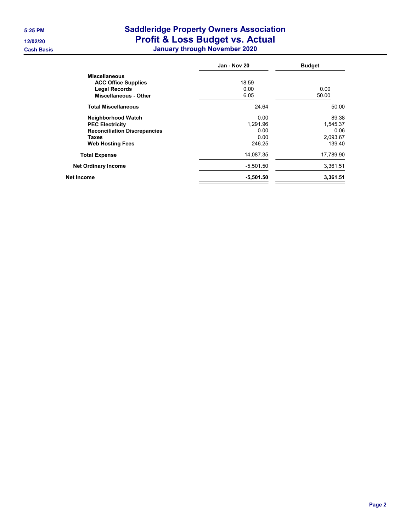### 5:25 PM Saddleridge Property Owners Association 12/02/20 **Profit & Loss Budget vs. Actual**

Cash Basis January through November 2020

| Jan - Nov 20 | <b>Budget</b> |
|--------------|---------------|
|              |               |
| 18.59        |               |
| 0.00         | 0.00          |
| 6.05         | 50.00         |
| 24.64        | 50.00         |
| 0.00         | 89.38         |
| 1,291.96     | 1,545.37      |
| 0.00         | 0.06          |
| 0.00         | 2,093.67      |
| 246.25       | 139.40        |
| 14,087.35    | 17,789.90     |
| $-5,501.50$  | 3,361.51      |
| $-5,501.50$  | 3,361.51      |
|              |               |